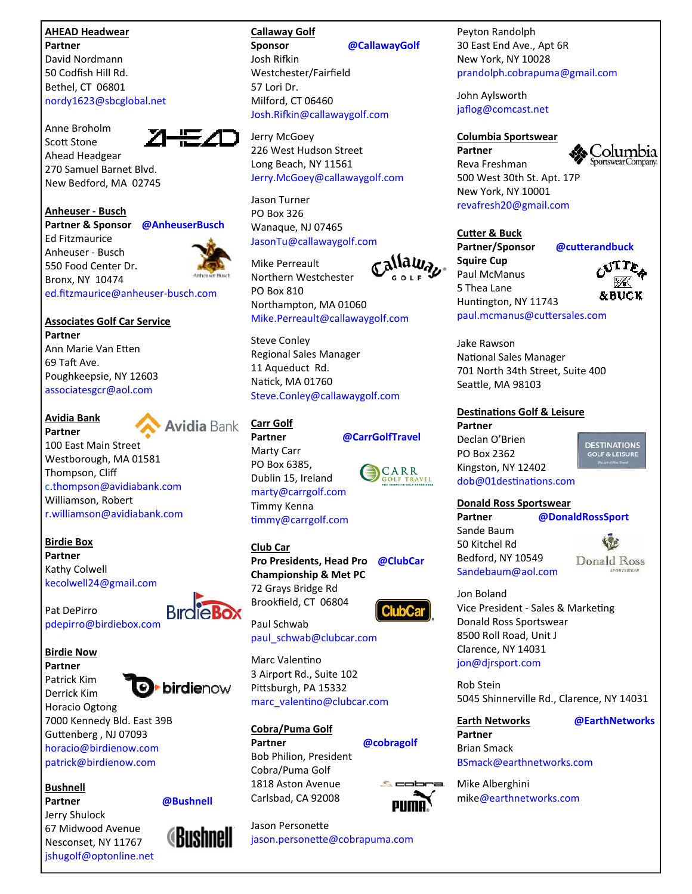### **AHEAD Headwear Partner**

David Nordmann 50 Codfish Hill Rd. Bethel, CT 06801 nordy1623@sbcglobal.net

Anne Broholm Scott Stone Ahead Headgear 270 Samuel Barnet Blvd. New Bedford, MA 02745



Ed Fitzmaurice Anheuser ‐ Busch 550 Food Center Dr. Bronx, NY 10474



**Associates Golf Car Service Partner** Ann Marie Van Etten 69 Taft Ave. Poughkeepsie, NY 12603 associatesgcr@aol.com

# **Avidia Bank**



**Partner** 100 East Main Street Westborough, MA 01581 Thompson, Cliff c.thompson@avidiabank.com Williamson, Robert r.williamson@avidiabank.com

**Birdie Box Partner** Kathy Colwell kecolwell24@gmail.com

Pat DePirro pdepirro@birdiebox.com

**Birdie Now**

**Partner** Patrick Kim Derrick Kim



Horacio Ogtong 7000 Kennedy Bld. East 39B Guttenberg, NJ 07093 horacio@birdienow.com patrick@birdienow.com

**Bushnell**

**Partner @Bushnell** Jerry Shulock 67 Midwood Avenue Nesconset, NY 11767 jshugolf@optonline.net

**Callaway Golf Sponsor @CallawayGolf**

Josh Rifkin Westchester/Fairfield 57 Lori Dr. Milford, CT 06460 Josh.Rifkin@callawaygolf.com

Jerry McGoey 226 West Hudson Street Long Beach, NY 11561 Jerry.McGoey@callawaygolf.com

Jason Turner PO Box 326 Wanaque, NJ 07465 JasonTu@callawaygolf.com

Jallawa<sub>b</sub>. Mike Perreault Northern Westchester PO Box 810 Northampton, MA 01060 Mike.Perreault@callawaygolf.com

Steve Conley Regional Sales Manager 11 Aqueduct Rd. Natick, MA 01760 Steve.Conley@callawaygolf.com

# **Carr Golf**

**Partner @CarrGolfTravel** Marty Carr PO Box 6385, Dublin 15, Ireland marty@carrgolf.com Timmy Kenna timmy@carrgolf.com

**Club Car Pro Presidents, Head Pro @ClubCar Championship & Met PC** 72 Grays Bridge Rd Brookfield, CT 06804

paul\_schwab@clubcar.com

Marc Valentino 3 Airport Rd., Suite 102 Pittsburgh, PA 15332 marc\_valentino@clubcar.com

**Cobra/Puma Golf**

**Partner @cobragolf** Bob Philion, President Cobra/Puma Golf 1818 Aston Avenue Carlsbad, CA 92008



Jason Personette jason.personette@cobrapuma.com Peyton Randolph 30 East End Ave., Apt 6R New York, NY 10028 prandolph.cobrapuma@gmail.com

John Aylsworth jaflog@comcast.net

### **Columbia Sportswear Partner**



Reva Freshman 500 West 30th St. Apt. 17P New York, NY 10001 revafresh20@gmail.com

## **CuƩer & Buck**

**Partner/Sponsor @cuƩerandbuck Squire Cup** Paul McManus 5 Thea Lane Huntington, NY 11743 paul.mcmanus@cuƩersales.com



Jake Rawson National Sales Manager 701 North 34th Street, Suite 400 Seattle, MA 98103

## **DesƟnaƟons Golf & Leisure**

**Partner** Declan O'Brien PO Box 2362 Kingston, NY 12402 dob@01destinations.com

**DESTINATIONS GOLF & LEISUR** 

**Donald Ross Sportswear Partner @DonaldRossSport**

Sande Baum 50 Kitchel Rd Bedford, NY 10549 Sandebaum@aol.com



Jon Boland Vice President - Sales & Marketing Donald Ross Sportswear 8500 Roll Road, Unit J Clarence, NY 14031 jon@djrsport.com

Rob Stein 5045 Shinnerville Rd., Clarence, NY 14031

**Earth Networks @EarthNetworks**

**Partner** Brian Smack BSmack@earthnetworks.com

Mike Alberghini mike@earthnetworks.com





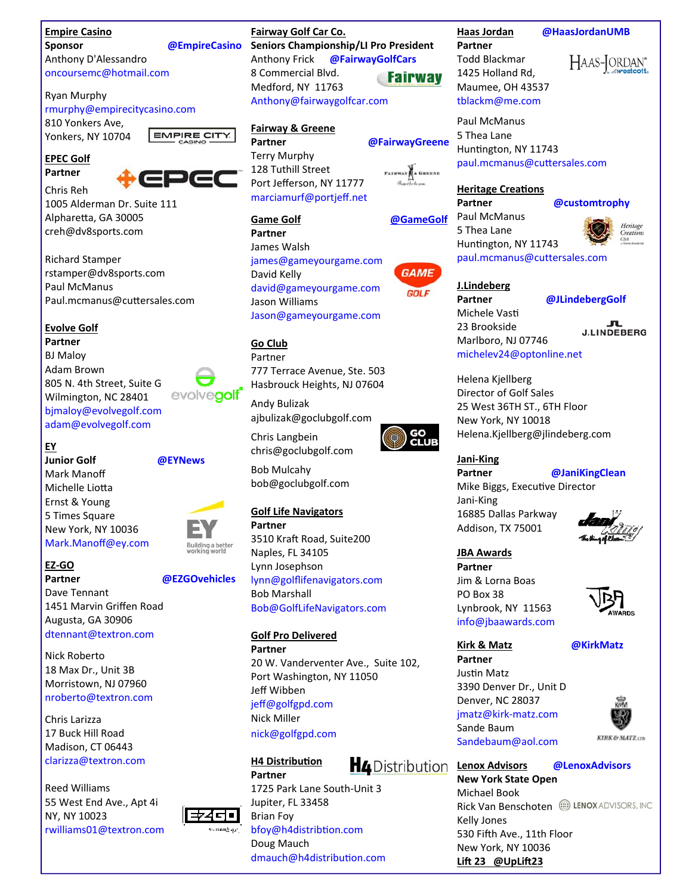# **Empire Casino**

**Sponsor @EmpireCasino**

Anthony D'Alessandro oncoursemc@hotmail.com

### Ryan Murphy

rmurphy@empirecitycasino.com

810 Yonkers Ave, Yonkers, NY 10704



**Partner** Chris Reh



**EMPIRE CITY.** 

1005 Alderman Dr. Suite 111 Alpharetta, GA 30005 creh@dv8sports.com

Richard Stamper rstamper@dv8sports.com Paul McManus Paul.mcmanus@cuƩersales.com

## **Evolve Golf**

**Partner** BJ Maloy Adam Brown 805 N. 4th Street, Suite G evolvegolf Wilmington, NC 28401 bjmaloy@evolvegolf.com adam@evolvegolf.com

# **EY**

**Junior Golf @EYNews** Mark Manoff Michelle Liotta Ernst & Young 5 Times Square New York, NY 10036 Mark.Manoff@ey.com



## **EZ‐GO**

**Partner @EZGOvehicles** Dave Tennant 1451 Marvin Griffen Road Augusta, GA 30906 dtennant@textron.com

Nick Roberto 18 Max Dr., Unit 3B Morristown, NJ 07960 nroberto@textron.com

Chris Larizza 17 Buck Hill Road Madison, CT 06443 clarizza@textron.com

Reed Williams 55 West End Ave., Apt 4i NY, NY 10023 rwilliams01@textron.com

**Fairway Golf Car Co. Seniors Championship/LI Pro President** Anthony Frick **@FairwayGolfCars** 8 Commercial Blvd. **Fairway** Medford, NY 11763

Anthony@fairwaygolfcar.com

# **Fairway & Greene**

**Partner @FairwayGreene** Terry Murphy 128 Tuthill Street Port Jefferson, NY 11777 marciamurf@portjeff.net

james@gameyourgame.com

david@gameyourgame.com

Jason@gameyourgame.com

777 Terrace Avenue, Ste. 503 Hasbrouck Heights, NJ 07604

ajbulizak@goclubgolf.com

chris@goclubgolf.com

bob@goclubgolf.com

**Golf Life Navigators**

Naples, FL 34105 Lynn Josephson

3510 Kraft Road, Suite200

**Partner** James Walsh

David Kelly

**Go Club** Partner

Andy Bulizak

Chris Langbein

Bob Mulcahy

**Partner** 

Jason Williams

**Game Golf @GameGolf**

**FAIRWAY** & GREENE

# **GAME GOLF**

paul.mcmanus@cuttersales.com **J.Lindeberg**

# **Partner @JLindebergGolf**

Michele Vasti 23 Brookside Marlboro, NJ 07746 michelev24@optonline.net

J.LINDEBERG

Helena Kjellberg Director of Golf Sales 25 West 36TH ST., 6TH Floor New York, NY 10018 Helena.Kjellberg@jlindeberg.com

# **Jani‐King Partner @JaniKingClean**

Mike Biggs, Executive Director Jani‐King 16885 Dallas Parkway Addison, TX 75001

**JBA Awards**

**Partner** Jim & Lorna Boas PO Box 38 Lynbrook, NY 11563 info@jbaawards.com



**Kirk & Matz @KirkMatz**

**Partner** Justin Matz 3390 Denver Dr., Unit D Denver, NC 28037 jmatz@kirk‐matz.com Sande Baum Sandebaum@aol.com



**KIRK & MATZ** cra

**Lenox Advisors @LenoxAdvisors New York State Open**  Michael Book Rick Van Benschoten @ LENOX ADVISORS, INC Kelly Jones 530 Fifth Ave., 11th Floor New York, NY 10036 **Lift 23 @UpLift23** 



d. n mandelar <sup>1</sup>

lynn@golflifenavigators.com Bob Marshall Bob@GolfLifeNavigators.com

### **Golf Pro Delivered Partner**

20 W. Vanderventer Ave., Suite 102, Port Washington, NY 11050 Jeff Wibben jeff@golfgpd.com Nick Miller nick@golfgpd.com

# **H4** Distribution

**Partner** 1725 Park Lane South‐Unit 3 Jupiter, FL 33458 Brian Foy bfoy@h4distribtion.com Doug Mauch dmauch@h4distribution.com







Huntington, NY 11743

**Heritage CreaƟons**

Huntington, NY 11743

Paul McManus 5 Thea Lane

paul.mcmanus@cuƩersales.com

**Partner @customtrophy**

1425 Holland Rd, Maumee, OH 43537 tblackm@me.com Paul McManus 5 Thea Lane

HAAS-JORDAN®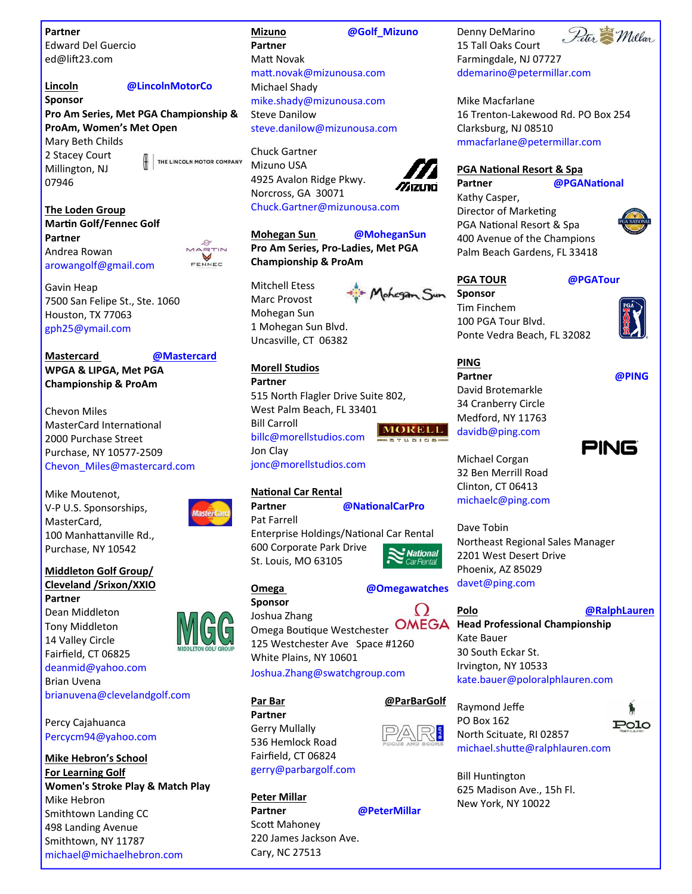**Partner**

Edward Del Guercio ed@lift23.com

# **Sponsor**

## **Lincoln @LincolnMotorCo**

**Pro Am Series, Met PGA Championship & ProAm, Women's Met Open** Mary Beth Childs 2 Stacey Court

Millington, NJ 07946

THE LINCOLN MOTOR COMPANY

**The Loden Group MarƟn Golf/Fennec Golf Partner** Andrea Rowan arowangolf@gmail.com



Gavin Heap 7500 San Felipe St., Ste. 1060 Houston, TX 77063 gph25@ymail.com

**Mastercard @Mastercard WPGA & LIPGA, Met PGA Championship & ProAm**

Chevon Miles MasterCard International 2000 Purchase Street Purchase, NY 10577‐2509 Chevon\_Miles@mastercard.com

Mike Moutenot, V‐P U.S. Sponsorships, MasterCard, 100 Manhattanville Rd., Purchase, NY 10542

## **Middleton Golf Group/ Cleveland /Srixon/XXIO**

**Partner** Dean Middleton Tony Middleton 14 Valley Circle Fairfield, CT 06825 deanmid@yahoo.com Brian Uvena brianuvena@clevelandgolf.com

Percy Cajahuanca Percycm94@yahoo.com

**Mike Hebron's School For Learning Golf Women's Stroke Play & Match Play** Mike Hebron Smithtown Landing CC 498 Landing Avenue Smithtown, NY 11787 michael@michaelhebron.com

## **Mizuno @Golf\_Mizuno Partner Matt Novak** maƩ.novak@mizunousa.com Michael Shady mike.shady@mizunousa.com Steve Danilow steve.danilow@mizunousa.com

Chuck Gartner Mizuno USA 4925 Avalon Ridge Pkwy. Norcross, GA 30071 Chuck.Gartner@mizunousa.com

Mohegan Sun

**Mohegan Sun @MoheganSun Pro Am Series, Pro‐Ladies, Met PGA Championship & ProAm**

Mitchell Etess Marc Provost Mohegan Sun 1 Mohegan Sun Blvd. Uncasville, CT 06382



## **Morell Studios**

**Partner** 515 North Flagler Drive Suite 802, West Palm Beach, FL 33401 Bill Carroll **MORELL** billc@morellstudios.com Jon Clay jonc@morellstudios.com

### **NaƟonal Car Rental**



(G(G

**Partner @NaƟonalCarPro** Pat Farrell Enterprise Holdings/National Car Rental

600 Corporate Park Drive **National** St. Louis, MO 63105

### **Omega @Omegawatches Sponsor**

**Partner** Gerry Mullally 536 Hemlock Road Fairfield, CT 06824 gerry@parbargolf.com

**Peter Millar**

Joshua Zhang

White Plains, NY 10601

Joshua.Zhang@swatchgroup.com

Ω





Omega Boutique Westchester 125 Westchester Ave Space #1260

# **Par Bar @ParBarGolf**



North Scituate, RI 02857





michael.shuƩe@ralphlauren.com

**Bill Huntington** 625 Madison Ave., 15h Fl. New York, NY 10022



Denny DeMarino 15 Tall Oaks Court Farmingdale, NJ 07727 ddemarino@petermillar.com

Mike Macfarlane 16 Trenton‐Lakewood Rd. PO Box 254 Clarksburg, NJ 08510 mmacfarlane@petermillar.com

# **PGA NaƟonal Resort & Spa**

**Partner @PGANaƟonal**

Kathy Casper, Director of Marketing PGA National Resort & Spa 400 Avenue of the Champions Palm Beach Gardens, FL 33418



**PGA TOUR @PGATour**

**Sponsor**  Tim Finchem 100 PGA Tour Blvd. Ponte Vedra Beach, FL 32082

**Partner @PING**



Michael Corgan 32 Ben Merrill Road Clinton, CT 06413 michaelc@ping.com

David Brotemarkle 34 Cranberry Circle Medford, NY 11763 davidb@ping.com

**PING**

Dave Tobin Northeast Regional Sales Manager 2201 West Desert Drive Phoenix, AZ 85029 davet@ping.com

**Polo @RalphLauren Head Professional Championship**

Kate Bauer 30 South Eckar St. Irvington, NY 10533 kate.bauer@poloralphlauren.com







**Partner @PeterMillar**

Scott Mahoney 220 James Jackson Ave. Cary, NC 27513